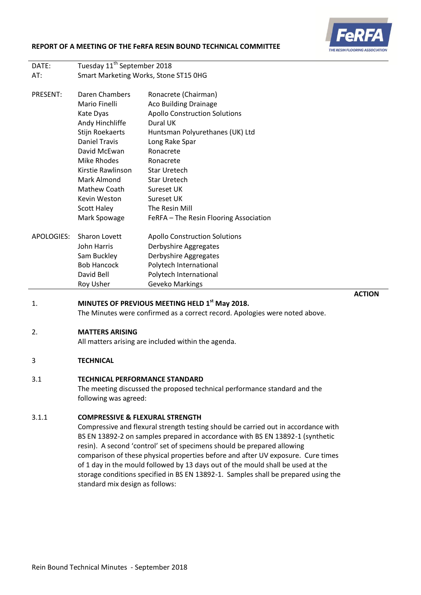

**ACTION**

# **REPORT OF A MEETING OF THE FeRFA RESIN BOUND TECHNICAL COMMITTEE**

| DATE:      | Tuesday 11 <sup>th</sup> September 2018                                     |                                                            |  |  |  |
|------------|-----------------------------------------------------------------------------|------------------------------------------------------------|--|--|--|
| AT:        | Smart Marketing Works, Stone ST15 0HG                                       |                                                            |  |  |  |
|            |                                                                             |                                                            |  |  |  |
| PRESENT:   | Daren Chambers                                                              | Ronacrete (Chairman)                                       |  |  |  |
|            | Mario Finelli                                                               | <b>Aco Building Drainage</b>                               |  |  |  |
|            | Kate Dyas                                                                   | <b>Apollo Construction Solutions</b>                       |  |  |  |
|            | Andy Hinchliffe                                                             | Dural UK                                                   |  |  |  |
|            | Stijn Roekaerts                                                             | Huntsman Polyurethanes (UK) Ltd                            |  |  |  |
|            | <b>Daniel Travis</b>                                                        | Long Rake Spar                                             |  |  |  |
|            | David McEwan                                                                | Ronacrete                                                  |  |  |  |
|            | Mike Rhodes                                                                 | Ronacrete                                                  |  |  |  |
|            | Kirstie Rawlinson                                                           | <b>Star Uretech</b>                                        |  |  |  |
|            | Mark Almond                                                                 | <b>Star Uretech</b>                                        |  |  |  |
|            | Mathew Coath                                                                | Sureset UK                                                 |  |  |  |
|            | Kevin Weston                                                                | Sureset UK                                                 |  |  |  |
|            | <b>Scott Haley</b>                                                          | The Resin Mill                                             |  |  |  |
|            | Mark Spowage                                                                | FeRFA - The Resin Flooring Association                     |  |  |  |
|            |                                                                             |                                                            |  |  |  |
| APOLOGIES: | Sharon Lovett                                                               | <b>Apollo Construction Solutions</b>                       |  |  |  |
|            | John Harris                                                                 | Derbyshire Aggregates                                      |  |  |  |
|            | Sam Buckley                                                                 | Derbyshire Aggregates                                      |  |  |  |
|            | <b>Bob Hancock</b>                                                          | Polytech International                                     |  |  |  |
|            | David Bell                                                                  | Polytech International                                     |  |  |  |
|            | Roy Usher                                                                   | Geveko Markings                                            |  |  |  |
|            |                                                                             |                                                            |  |  |  |
| 1.         |                                                                             | MINUTES OF PREVIOUS MEETING HELD 1 <sup>st</sup> May 2018. |  |  |  |
|            | The Minutes were confirmed as a correct record. Apologies were noted above. |                                                            |  |  |  |
|            |                                                                             |                                                            |  |  |  |
| 2.         | <b>MATTERS ARISING</b>                                                      |                                                            |  |  |  |
|            |                                                                             | All matters arising are included within the agenda.        |  |  |  |
|            |                                                                             |                                                            |  |  |  |
| 3          | <b>TECHNICAL</b>                                                            |                                                            |  |  |  |
|            |                                                                             |                                                            |  |  |  |
| 3.1        | TECHNICAL PERFORMANCE STANDARD                                              |                                                            |  |  |  |
|            | The meeting discussed the proposed technical performance standard and the   |                                                            |  |  |  |
|            | following was agreed:                                                       |                                                            |  |  |  |
|            |                                                                             |                                                            |  |  |  |
| 3.1.1      | <b>COMPRESSIVE &amp; FLEXURAL STRENGTH</b>                                  |                                                            |  |  |  |
|            |                                                                             |                                                            |  |  |  |

Compressive and flexural strength testing should be carried out in accordance with BS EN 13892-2 on samples prepared in accordance with BS EN 13892-1 (synthetic resin). A second 'control' set of specimens should be prepared allowing comparison of these physical properties before and after UV exposure. Cure times of 1 day in the mould followed by 13 days out of the mould shall be used at the storage conditions specified in BS EN 13892-1. Samples shall be prepared using the standard mix design as follows: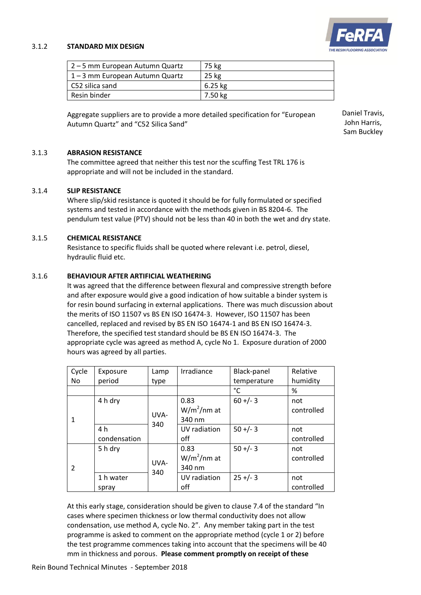### 3.1.2 **STANDARD MIX DESIGN**

| 2 – 5 mm European Autumn Quartz | 75 kg           |
|---------------------------------|-----------------|
| 1-3 mm European Autumn Quartz   | $25 \text{ kg}$ |
| C52 silica sand                 | $6.25$ kg       |
| Resin binder                    | 7.50 kg         |

Aggregate suppliers are to provide a more detailed specification for "European Autumn Quartz" and "C52 Silica Sand"

Daniel Travis, John Harris, Sam Buckley

# 3.1.3 **ABRASION RESISTANCE**

The committee agreed that neither this test nor the scuffing Test TRL 176 is appropriate and will not be included in the standard.

# 3.1.4 **SLIP RESISTANCE**

Where slip/skid resistance is quoted it should be for fully formulated or specified systems and tested in accordance with the methods given in BS 8204-6. The pendulum test value (PTV) should not be less than 40 in both the wet and dry state.

### 3.1.5 **CHEMICAL RESISTANCE**

Resistance to specific fluids shall be quoted where relevant i.e. petrol, diesel, hydraulic fluid etc.

# 3.1.6 **BEHAVIOUR AFTER ARTIFICIAL WEATHERING**

It was agreed that the difference between flexural and compressive strength before and after exposure would give a good indication of how suitable a binder system is for resin bound surfacing in external applications. There was much discussion about the merits of ISO 11507 vs BS EN ISO 16474-3. However, ISO 11507 has been cancelled, replaced and revised by BS EN ISO 16474-1 and BS EN ISO 16474-3. Therefore, the specified test standard should be BS EN ISO 16474-3. The appropriate cycle was agreed as method A, cycle No 1. Exposure duration of 2000 hours was agreed by all parties.

| Cycle        | Exposure     | Lamp        | Irradiance    | Black-panel  | Relative   |
|--------------|--------------|-------------|---------------|--------------|------------|
| No           | period       | type        |               | temperature  | humidity   |
|              |              |             |               | $^{\circ}$ C | %          |
|              | 4 h dry      |             | 0.83          | $60 +/- 3$   | not        |
|              |              | UVA-<br>340 | $W/m^2/nm$ at |              | controlled |
| $\mathbf{1}$ |              |             | 340 nm        |              |            |
|              | 4 h          |             | UV radiation  | $50 +/- 3$   | not        |
|              | condensation |             | off           |              | controlled |
|              | 5 h dry      | UVA-<br>340 | 0.83          | $50 +/- 3$   | not        |
|              |              |             | $W/m^2/nm$ at |              | controlled |
| 2            |              |             | 340 nm        |              |            |
|              | 1 h water    |             | UV radiation  | $25 + (-3)$  | not        |
|              | spray        |             | off           |              | controlled |

At this early stage, consideration should be given to clause 7.4 of the standard "In cases where specimen thickness or low thermal conductivity does not allow condensation, use method A, cycle No. 2". Any member taking part in the test programme is asked to comment on the appropriate method (cycle 1 or 2) before the test programme commences taking into account that the specimens will be 40 mm in thickness and porous. **Please comment promptly on receipt of these**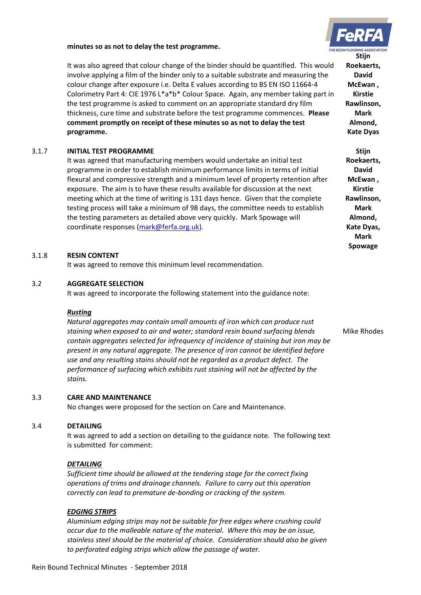#### **minutes so as not to delay the test programme.**



# 3.1.7 **INITIAL TEST PROGRAMME**

It was agreed that manufacturing members would undertake an initial test programme in order to establish minimum performance limits in terms of initial flexural and compressive strength and a minimum level of property retention after exposure. The aim is to have these results available for discussion at the next meeting which at the time of writing is 131 days hence. Given that the complete testing process will take a minimum of 98 days, the committee needs to establish the testing parameters as detailed above very quickly. Mark Spowage will coordinate responses [\(mark@ferfa.org.uk\)](mailto:mark@ferfa.org.uk).

#### 3.1.8 **RESIN CONTENT**

It was agreed to remove this minimum level recommendation.

#### 3.2 **AGGREGATE SELECTION**

It was agreed to incorporate the following statement into the guidance note:

#### *Rusting*

*Natural aggregates may contain small amounts of iron which can produce rust staining when exposed to air and water; standard resin bound surfacing blends contain aggregates selected for infrequency of incidence of staining but iron may be present in any natural aggregate. The presence of iron cannot be identified before use and any resulting stains should not be regarded as a product defect. The performance of surfacing which exhibits rust staining will not be affected by the stains.*

### 3.3 **CARE AND MAINTENANCE**

No changes were proposed for the section on Care and Maintenance.

#### 3.4 **DETAILING**

It was agreed to add a section on detailing to the guidance note. The following text is submitted for comment:

#### *DETAILING*

*Sufficient time should be allowed at the tendering stage for the correct fixing operations of trims and drainage channels. Failure to carry out this operation correctly can lead to premature de-bonding or cracking of the system.*

#### *EDGING STRIPS*

*Aluminium edging strips may not be suitable for free edges where crushing could occur due to the malleable nature of the material. Where this may be an issue, stainless steel should be the material of choice. Consideration should also be given to perforated edging strips which allow the passage of water.*

**Stijn Roekaerts, David McEwan , Kirstie Rawlinson, Mark Almond, Kate Dyas**

**Stijn Roekaerts, David McEwan , Kirstie Rawlinson, Mark Almond, Kate Dyas, Mark Spowage**

Mike Rhodes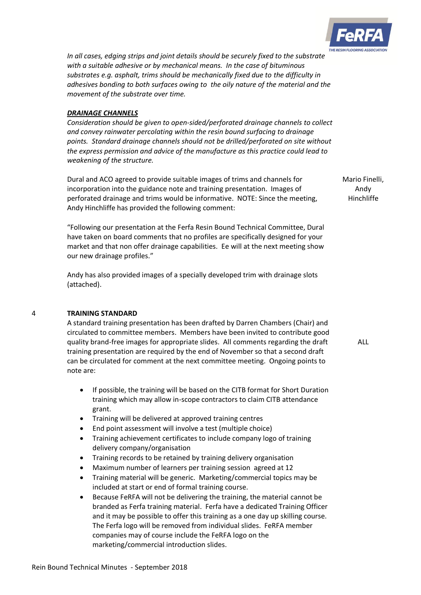

*In all cases, edging strips and joint details should be securely fixed to the substrate with a suitable adhesive or by mechanical means. In the case of bituminous substrates e.g. asphalt, trims should be mechanically fixed due to the difficulty in adhesives bonding to both surfaces owing to the oily nature of the material and the movement of the substrate over time.*

# *DRAINAGE CHANNELS*

*Consideration should be given to open-sided/perforated drainage channels to collect and convey rainwater percolating within the resin bound surfacing to drainage points. Standard drainage channels should not be drilled/perforated on site without the express permission and advice of the manufacture as this practice could lead to weakening of the structure.*

Dural and ACO agreed to provide suitable images of trims and channels for incorporation into the guidance note and training presentation. Images of perforated drainage and trims would be informative. NOTE: Since the meeting, Andy Hinchliffe has provided the following comment:

Mario Finelli, Andy Hinchliffe

ALL

"Following our presentation at the Ferfa Resin Bound Technical Committee, Dural have taken on board comments that no profiles are specifically designed for your market and that non offer drainage capabilities. Ee will at the next meeting show our new drainage profiles."

Andy has also provided images of a specially developed trim with drainage slots (attached).

# 4 **TRAINING STANDARD**

A standard training presentation has been drafted by Darren Chambers (Chair) and circulated to committee members. Members have been invited to contribute good quality brand-free images for appropriate slides. All comments regarding the draft training presentation are required by the end of November so that a second draft can be circulated for comment at the next committee meeting. Ongoing points to note are:

- If possible, the training will be based on the CITB format for Short Duration training which may allow in-scope contractors to claim CITB attendance grant.
- Training will be delivered at approved training centres
- End point assessment will involve a test (multiple choice)
- Training achievement certificates to include company logo of training delivery company/organisation
- Training records to be retained by training delivery organisation
- Maximum number of learners per training session agreed at 12
- Training material will be generic. Marketing/commercial topics may be included at start or end of formal training course.
- Because FeRFA will not be delivering the training, the material cannot be branded as Ferfa training material. Ferfa have a dedicated Training Officer and it may be possible to offer this training as a one day up skilling course. The Ferfa logo will be removed from individual slides. FeRFA member companies may of course include the FeRFA logo on the marketing/commercial introduction slides.